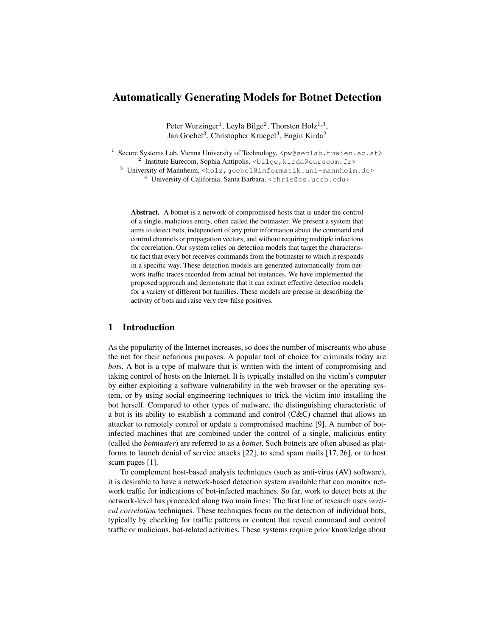# Automatically Generating Models for Botnet Detection

Peter Wurzinger<sup>1</sup>, Leyla Bilge<sup>2</sup>, Thorsten Holz<sup>1,3</sup>, Jan Goebel<sup>3</sup>, Christopher Kruegel<sup>4</sup>, Engin Kirda<sup>2</sup>

<sup>1</sup> Secure Systems Lab, Vienna University of Technology, <pw@seclab.tuwien.ac.at> <sup>2</sup> Institute Eurecom, Sophia Antipolis, <br/>bilge, kirda@eurecom.fr>

<sup>3</sup> University of Mannheim, <holz,goebel@informatik.uni-mannheim.de> <sup>4</sup> University of California, Santa Barbara, <chris@cs.ucsb.edu>

Abstract. A botnet is a network of compromised hosts that is under the control of a single, malicious entity, often called the botmaster. We present a system that aims to detect bots, independent of any prior information about the command and control channels or propagation vectors, and without requiring multiple infections for correlation. Our system relies on detection models that target the characteristic fact that every bot receives commands from the botmaster to which it responds in a specific way. These detection models are generated automatically from network traffic traces recorded from actual bot instances. We have implemented the proposed approach and demonstrate that it can extract effective detection models for a variety of different bot families. These models are precise in describing the activity of bots and raise very few false positives.

## 1 Introduction

As the popularity of the Internet increases, so does the number of miscreants who abuse the net for their nefarious purposes. A popular tool of choice for criminals today are *bots*. A bot is a type of malware that is written with the intent of compromising and taking control of hosts on the Internet. It is typically installed on the victim's computer by either exploiting a software vulnerability in the web browser or the operating system, or by using social engineering techniques to trick the victim into installing the bot herself. Compared to other types of malware, the distinguishing characteristic of a bot is its ability to establish a command and control (C&C) channel that allows an attacker to remotely control or update a compromised machine [9]. A number of botinfected machines that are combined under the control of a single, malicious entity (called the *botmaster*) are referred to as a *botnet*. Such botnets are often abused as platforms to launch denial of service attacks [22], to send spam mails [17, 26], or to host scam pages [1].

To complement host-based analysis techniques (such as anti-virus (AV) software), it is desirable to have a network-based detection system available that can monitor network traffic for indications of bot-infected machines. So far, work to detect bots at the network-level has proceeded along two main lines: The first line of research uses *vertical correlation* techniques. These techniques focus on the detection of individual bots, typically by checking for traffic patterns or content that reveal command and control traffic or malicious, bot-related activities. These systems require prior knowledge about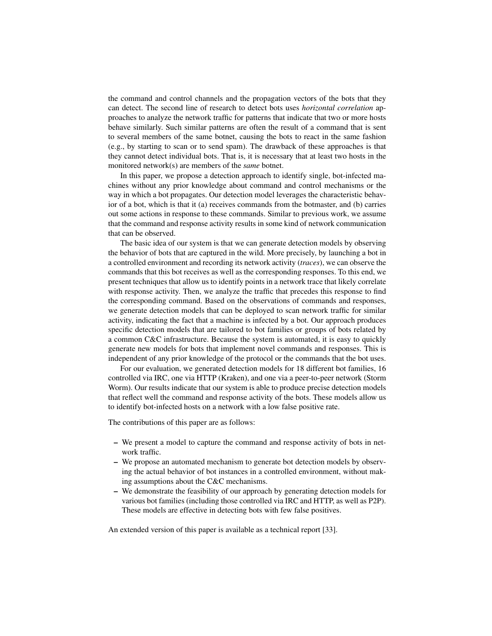the command and control channels and the propagation vectors of the bots that they can detect. The second line of research to detect bots uses *horizontal correlation* approaches to analyze the network traffic for patterns that indicate that two or more hosts behave similarly. Such similar patterns are often the result of a command that is sent to several members of the same botnet, causing the bots to react in the same fashion (e.g., by starting to scan or to send spam). The drawback of these approaches is that they cannot detect individual bots. That is, it is necessary that at least two hosts in the monitored network(s) are members of the *same* botnet.

In this paper, we propose a detection approach to identify single, bot-infected machines without any prior knowledge about command and control mechanisms or the way in which a bot propagates. Our detection model leverages the characteristic behavior of a bot, which is that it (a) receives commands from the botmaster, and (b) carries out some actions in response to these commands. Similar to previous work, we assume that the command and response activity results in some kind of network communication that can be observed.

The basic idea of our system is that we can generate detection models by observing the behavior of bots that are captured in the wild. More precisely, by launching a bot in a controlled environment and recording its network activity (*traces*), we can observe the commands that this bot receives as well as the corresponding responses. To this end, we present techniques that allow us to identify points in a network trace that likely correlate with response activity. Then, we analyze the traffic that precedes this response to find the corresponding command. Based on the observations of commands and responses, we generate detection models that can be deployed to scan network traffic for similar activity, indicating the fact that a machine is infected by a bot. Our approach produces specific detection models that are tailored to bot families or groups of bots related by a common C&C infrastructure. Because the system is automated, it is easy to quickly generate new models for bots that implement novel commands and responses. This is independent of any prior knowledge of the protocol or the commands that the bot uses.

For our evaluation, we generated detection models for 18 different bot families, 16 controlled via IRC, one via HTTP (Kraken), and one via a peer-to-peer network (Storm Worm). Our results indicate that our system is able to produce precise detection models that reflect well the command and response activity of the bots. These models allow us to identify bot-infected hosts on a network with a low false positive rate.

The contributions of this paper are as follows:

- We present a model to capture the command and response activity of bots in network traffic.
- We propose an automated mechanism to generate bot detection models by observing the actual behavior of bot instances in a controlled environment, without making assumptions about the C&C mechanisms.
- We demonstrate the feasibility of our approach by generating detection models for various bot families (including those controlled via IRC and HTTP, as well as P2P). These models are effective in detecting bots with few false positives.

An extended version of this paper is available as a technical report [33].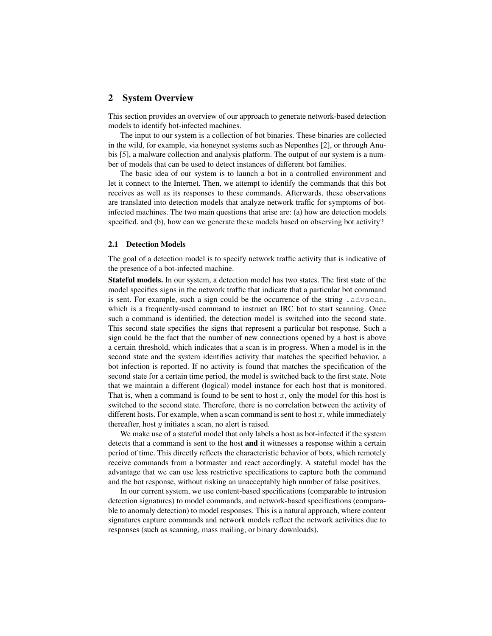## 2 System Overview

This section provides an overview of our approach to generate network-based detection models to identify bot-infected machines.

The input to our system is a collection of bot binaries. These binaries are collected in the wild, for example, via honeynet systems such as Nepenthes [2], or through Anubis [5], a malware collection and analysis platform. The output of our system is a number of models that can be used to detect instances of different bot families.

The basic idea of our system is to launch a bot in a controlled environment and let it connect to the Internet. Then, we attempt to identify the commands that this bot receives as well as its responses to these commands. Afterwards, these observations are translated into detection models that analyze network traffic for symptoms of botinfected machines. The two main questions that arise are: (a) how are detection models specified, and (b), how can we generate these models based on observing bot activity?

#### 2.1 Detection Models

The goal of a detection model is to specify network traffic activity that is indicative of the presence of a bot-infected machine.

Stateful models. In our system, a detection model has two states. The first state of the model specifies signs in the network traffic that indicate that a particular bot command is sent. For example, such a sign could be the occurrence of the string .advscan, which is a frequently-used command to instruct an IRC bot to start scanning. Once such a command is identified, the detection model is switched into the second state. This second state specifies the signs that represent a particular bot response. Such a sign could be the fact that the number of new connections opened by a host is above a certain threshold, which indicates that a scan is in progress. When a model is in the second state and the system identifies activity that matches the specified behavior, a bot infection is reported. If no activity is found that matches the specification of the second state for a certain time period, the model is switched back to the first state. Note that we maintain a different (logical) model instance for each host that is monitored. That is, when a command is found to be sent to host  $x$ , only the model for this host is switched to the second state. Therefore, there is no correlation between the activity of different hosts. For example, when a scan command is sent to host  $x$ , while immediately thereafter, host  $y$  initiates a scan, no alert is raised.

We make use of a stateful model that only labels a host as bot-infected if the system detects that a command is sent to the host **and** it witnesses a response within a certain period of time. This directly reflects the characteristic behavior of bots, which remotely receive commands from a botmaster and react accordingly. A stateful model has the advantage that we can use less restrictive specifications to capture both the command and the bot response, without risking an unacceptably high number of false positives.

In our current system, we use content-based specifications (comparable to intrusion detection signatures) to model commands, and network-based specifications (comparable to anomaly detection) to model responses. This is a natural approach, where content signatures capture commands and network models reflect the network activities due to responses (such as scanning, mass mailing, or binary downloads).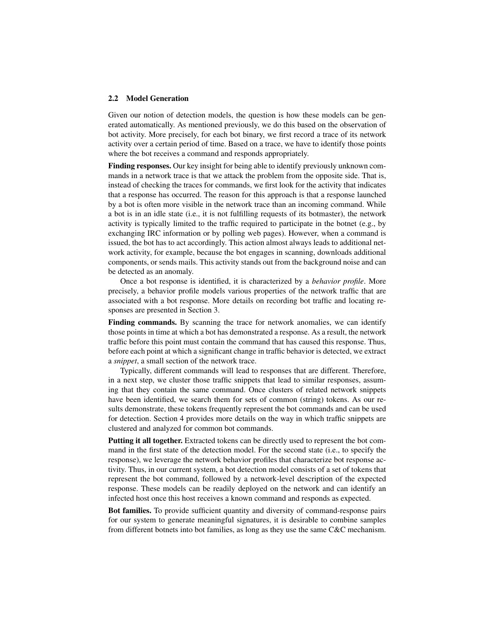#### 2.2 Model Generation

Given our notion of detection models, the question is how these models can be generated automatically. As mentioned previously, we do this based on the observation of bot activity. More precisely, for each bot binary, we first record a trace of its network activity over a certain period of time. Based on a trace, we have to identify those points where the bot receives a command and responds appropriately.

Finding responses. Our key insight for being able to identify previously unknown commands in a network trace is that we attack the problem from the opposite side. That is, instead of checking the traces for commands, we first look for the activity that indicates that a response has occurred. The reason for this approach is that a response launched by a bot is often more visible in the network trace than an incoming command. While a bot is in an idle state (i.e., it is not fulfilling requests of its botmaster), the network activity is typically limited to the traffic required to participate in the botnet (e.g., by exchanging IRC information or by polling web pages). However, when a command is issued, the bot has to act accordingly. This action almost always leads to additional network activity, for example, because the bot engages in scanning, downloads additional components, or sends mails. This activity stands out from the background noise and can be detected as an anomaly.

Once a bot response is identified, it is characterized by a *behavior profile*. More precisely, a behavior profile models various properties of the network traffic that are associated with a bot response. More details on recording bot traffic and locating responses are presented in Section 3.

Finding commands. By scanning the trace for network anomalies, we can identify those points in time at which a bot has demonstrated a response. As a result, the network traffic before this point must contain the command that has caused this response. Thus, before each point at which a significant change in traffic behavior is detected, we extract a *snippet*, a small section of the network trace.

Typically, different commands will lead to responses that are different. Therefore, in a next step, we cluster those traffic snippets that lead to similar responses, assuming that they contain the same command. Once clusters of related network snippets have been identified, we search them for sets of common (string) tokens. As our results demonstrate, these tokens frequently represent the bot commands and can be used for detection. Section 4 provides more details on the way in which traffic snippets are clustered and analyzed for common bot commands.

Putting it all together. Extracted tokens can be directly used to represent the bot command in the first state of the detection model. For the second state (i.e., to specify the response), we leverage the network behavior profiles that characterize bot response activity. Thus, in our current system, a bot detection model consists of a set of tokens that represent the bot command, followed by a network-level description of the expected response. These models can be readily deployed on the network and can identify an infected host once this host receives a known command and responds as expected.

Bot families. To provide sufficient quantity and diversity of command-response pairs for our system to generate meaningful signatures, it is desirable to combine samples from different botnets into bot families, as long as they use the same C&C mechanism.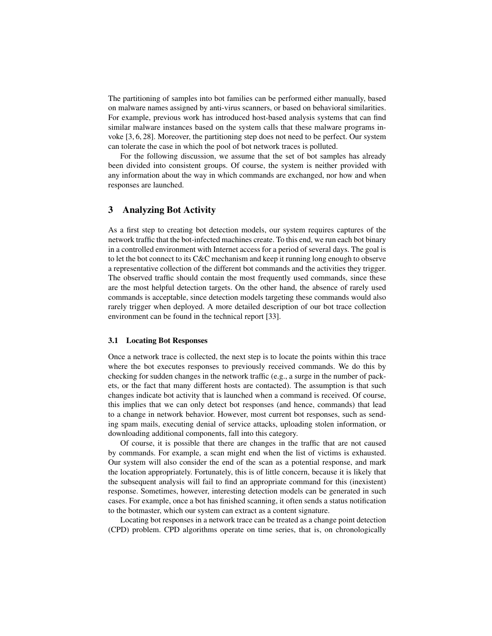The partitioning of samples into bot families can be performed either manually, based on malware names assigned by anti-virus scanners, or based on behavioral similarities. For example, previous work has introduced host-based analysis systems that can find similar malware instances based on the system calls that these malware programs invoke [3, 6, 28]. Moreover, the partitioning step does not need to be perfect. Our system can tolerate the case in which the pool of bot network traces is polluted.

For the following discussion, we assume that the set of bot samples has already been divided into consistent groups. Of course, the system is neither provided with any information about the way in which commands are exchanged, nor how and when responses are launched.

# 3 Analyzing Bot Activity

As a first step to creating bot detection models, our system requires captures of the network traffic that the bot-infected machines create. To this end, we run each bot binary in a controlled environment with Internet access for a period of several days. The goal is to let the bot connect to its C&C mechanism and keep it running long enough to observe a representative collection of the different bot commands and the activities they trigger. The observed traffic should contain the most frequently used commands, since these are the most helpful detection targets. On the other hand, the absence of rarely used commands is acceptable, since detection models targeting these commands would also rarely trigger when deployed. A more detailed description of our bot trace collection environment can be found in the technical report [33].

#### 3.1 Locating Bot Responses

Once a network trace is collected, the next step is to locate the points within this trace where the bot executes responses to previously received commands. We do this by checking for sudden changes in the network traffic (e.g., a surge in the number of packets, or the fact that many different hosts are contacted). The assumption is that such changes indicate bot activity that is launched when a command is received. Of course, this implies that we can only detect bot responses (and hence, commands) that lead to a change in network behavior. However, most current bot responses, such as sending spam mails, executing denial of service attacks, uploading stolen information, or downloading additional components, fall into this category.

Of course, it is possible that there are changes in the traffic that are not caused by commands. For example, a scan might end when the list of victims is exhausted. Our system will also consider the end of the scan as a potential response, and mark the location appropriately. Fortunately, this is of little concern, because it is likely that the subsequent analysis will fail to find an appropriate command for this (inexistent) response. Sometimes, however, interesting detection models can be generated in such cases. For example, once a bot has finished scanning, it often sends a status notification to the botmaster, which our system can extract as a content signature.

Locating bot responses in a network trace can be treated as a change point detection (CPD) problem. CPD algorithms operate on time series, that is, on chronologically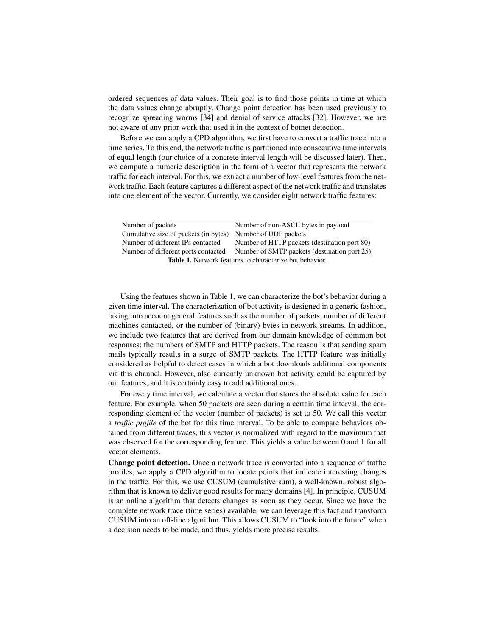ordered sequences of data values. Their goal is to find those points in time at which the data values change abruptly. Change point detection has been used previously to recognize spreading worms [34] and denial of service attacks [32]. However, we are not aware of any prior work that used it in the context of botnet detection.

Before we can apply a CPD algorithm, we first have to convert a traffic trace into a time series. To this end, the network traffic is partitioned into consecutive time intervals of equal length (our choice of a concrete interval length will be discussed later). Then, we compute a numeric description in the form of a vector that represents the network traffic for each interval. For this, we extract a number of low-level features from the network traffic. Each feature captures a different aspect of the network traffic and translates into one element of the vector. Currently, we consider eight network traffic features:

| Number of packets                                              | Number of non-ASCII bytes in payload                                             |  |  |  |
|----------------------------------------------------------------|----------------------------------------------------------------------------------|--|--|--|
| Cumulative size of packets (in bytes) Number of UDP packets    |                                                                                  |  |  |  |
| Number of different IPs contacted                              | Number of HTTP packets (destination port 80)                                     |  |  |  |
|                                                                | Number of different ports contacted Number of SMTP packets (destination port 25) |  |  |  |
| <b>Table 1.</b> Network features to characterize bot behavior. |                                                                                  |  |  |  |

Using the features shown in Table 1, we can characterize the bot's behavior during a given time interval. The characterization of bot activity is designed in a generic fashion, taking into account general features such as the number of packets, number of different machines contacted, or the number of (binary) bytes in network streams. In addition, we include two features that are derived from our domain knowledge of common bot responses: the numbers of SMTP and HTTP packets. The reason is that sending spam mails typically results in a surge of SMTP packets. The HTTP feature was initially considered as helpful to detect cases in which a bot downloads additional components via this channel. However, also currently unknown bot activity could be captured by our features, and it is certainly easy to add additional ones.

For every time interval, we calculate a vector that stores the absolute value for each feature. For example, when 50 packets are seen during a certain time interval, the corresponding element of the vector (number of packets) is set to 50. We call this vector a *traffic profile* of the bot for this time interval. To be able to compare behaviors obtained from different traces, this vector is normalized with regard to the maximum that was observed for the corresponding feature. This yields a value between 0 and 1 for all vector elements.

Change point detection. Once a network trace is converted into a sequence of traffic profiles, we apply a CPD algorithm to locate points that indicate interesting changes in the traffic. For this, we use CUSUM (cumulative sum), a well-known, robust algorithm that is known to deliver good results for many domains [4]. In principle, CUSUM is an online algorithm that detects changes as soon as they occur. Since we have the complete network trace (time series) available, we can leverage this fact and transform CUSUM into an off-line algorithm. This allows CUSUM to "look into the future" when a decision needs to be made, and thus, yields more precise results.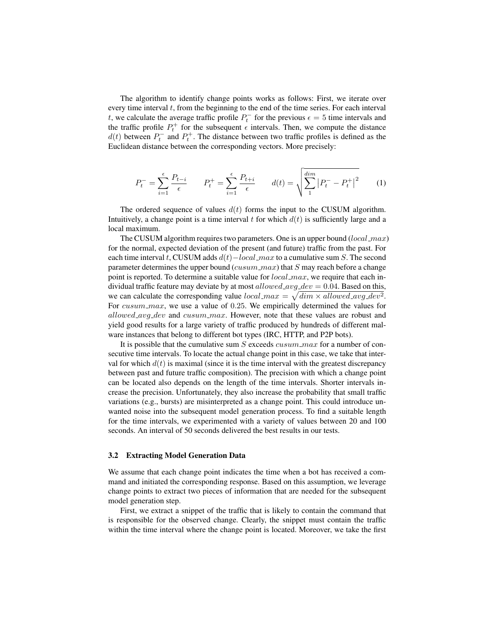The algorithm to identify change points works as follows: First, we iterate over every time interval  $t$ , from the beginning to the end of the time series. For each interval t, we calculate the average traffic profile  $P_t^-$  for the previous  $\epsilon = 5$  time intervals and the traffic profile  $P_t^+$  for the subsequent  $\epsilon$  intervals. Then, we compute the distance  $d(t)$  between  $P_t^-$  and  $P_t^+$ . The distance between two traffic profiles is defined as the Euclidean distance between the corresponding vectors. More precisely:

$$
P_t^- = \sum_{i=1}^{\epsilon} \frac{P_{t-i}}{\epsilon} \qquad P_t^+ = \sum_{i=1}^{\epsilon} \frac{P_{t+i}}{\epsilon} \qquad d(t) = \sqrt{\sum_{1}^{\text{dim}} |P_t^- - P_t^+|^2} \qquad (1)
$$

The ordered sequence of values  $d(t)$  forms the input to the CUSUM algorithm. Intuitively, a change point is a time interval t for which  $d(t)$  is sufficiently large and a local maximum.

The CUSUM algorithm requires two parameters. One is an upper bound  $(local\_max)$ for the normal, expected deviation of the present (and future) traffic from the past. For each time interval t, CUSUM adds  $d(t)$  – local max to a cumulative sum S. The second parameter determines the upper bound  $(cusum_max)$  that S may reach before a change point is reported. To determine a suitable value for  $local\_max$ , we require that each individual traffic feature may deviate by at most  $allowed\_avg\_dev = 0.04$ . Based on this, we can calculate the corresponding value  $local\_max = \sqrt{dim \times allowed\_avg\_dev^2}$ . For cusum max, we use a value of 0.25. We empirically determined the values for allowed avg dev and cusum max. However, note that these values are robust and yield good results for a large variety of traffic produced by hundreds of different malware instances that belong to different bot types (IRC, HTTP, and P2P bots).

It is possible that the cumulative sum  $S$  exceeds  $cusum\_max$  for a number of consecutive time intervals. To locate the actual change point in this case, we take that interval for which  $d(t)$  is maximal (since it is the time interval with the greatest discrepancy between past and future traffic composition). The precision with which a change point can be located also depends on the length of the time intervals. Shorter intervals increase the precision. Unfortunately, they also increase the probability that small traffic variations (e.g., bursts) are misinterpreted as a change point. This could introduce unwanted noise into the subsequent model generation process. To find a suitable length for the time intervals, we experimented with a variety of values between 20 and 100 seconds. An interval of 50 seconds delivered the best results in our tests.

#### 3.2 Extracting Model Generation Data

We assume that each change point indicates the time when a bot has received a command and initiated the corresponding response. Based on this assumption, we leverage change points to extract two pieces of information that are needed for the subsequent model generation step.

First, we extract a snippet of the traffic that is likely to contain the command that is responsible for the observed change. Clearly, the snippet must contain the traffic within the time interval where the change point is located. Moreover, we take the first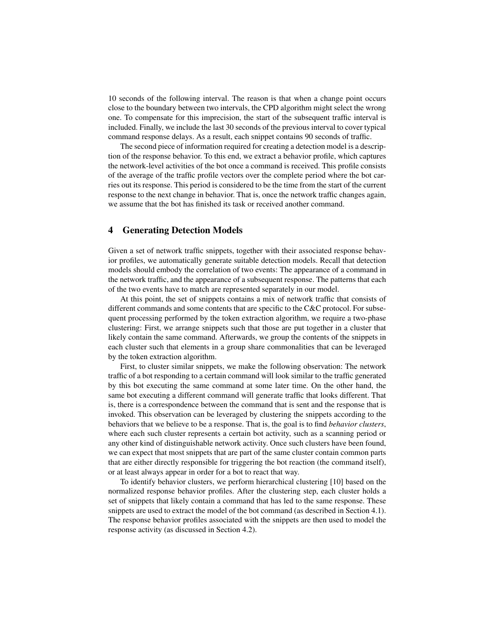10 seconds of the following interval. The reason is that when a change point occurs close to the boundary between two intervals, the CPD algorithm might select the wrong one. To compensate for this imprecision, the start of the subsequent traffic interval is included. Finally, we include the last 30 seconds of the previous interval to cover typical command response delays. As a result, each snippet contains 90 seconds of traffic.

The second piece of information required for creating a detection model is a description of the response behavior. To this end, we extract a behavior profile, which captures the network-level activities of the bot once a command is received. This profile consists of the average of the traffic profile vectors over the complete period where the bot carries out its response. This period is considered to be the time from the start of the current response to the next change in behavior. That is, once the network traffic changes again, we assume that the bot has finished its task or received another command.

# 4 Generating Detection Models

Given a set of network traffic snippets, together with their associated response behavior profiles, we automatically generate suitable detection models. Recall that detection models should embody the correlation of two events: The appearance of a command in the network traffic, and the appearance of a subsequent response. The patterns that each of the two events have to match are represented separately in our model.

At this point, the set of snippets contains a mix of network traffic that consists of different commands and some contents that are specific to the C&C protocol. For subsequent processing performed by the token extraction algorithm, we require a two-phase clustering: First, we arrange snippets such that those are put together in a cluster that likely contain the same command. Afterwards, we group the contents of the snippets in each cluster such that elements in a group share commonalities that can be leveraged by the token extraction algorithm.

First, to cluster similar snippets, we make the following observation: The network traffic of a bot responding to a certain command will look similar to the traffic generated by this bot executing the same command at some later time. On the other hand, the same bot executing a different command will generate traffic that looks different. That is, there is a correspondence between the command that is sent and the response that is invoked. This observation can be leveraged by clustering the snippets according to the behaviors that we believe to be a response. That is, the goal is to find *behavior clusters*, where each such cluster represents a certain bot activity, such as a scanning period or any other kind of distinguishable network activity. Once such clusters have been found, we can expect that most snippets that are part of the same cluster contain common parts that are either directly responsible for triggering the bot reaction (the command itself), or at least always appear in order for a bot to react that way.

To identify behavior clusters, we perform hierarchical clustering [10] based on the normalized response behavior profiles. After the clustering step, each cluster holds a set of snippets that likely contain a command that has led to the same response. These snippets are used to extract the model of the bot command (as described in Section 4.1). The response behavior profiles associated with the snippets are then used to model the response activity (as discussed in Section 4.2).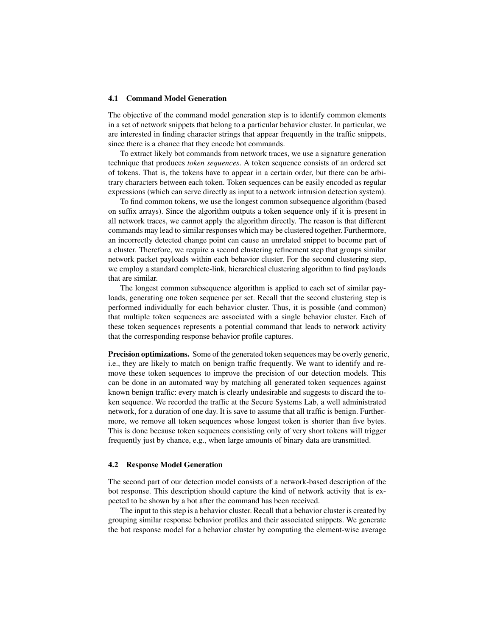#### 4.1 Command Model Generation

The objective of the command model generation step is to identify common elements in a set of network snippets that belong to a particular behavior cluster. In particular, we are interested in finding character strings that appear frequently in the traffic snippets, since there is a chance that they encode bot commands.

To extract likely bot commands from network traces, we use a signature generation technique that produces *token sequences*. A token sequence consists of an ordered set of tokens. That is, the tokens have to appear in a certain order, but there can be arbitrary characters between each token. Token sequences can be easily encoded as regular expressions (which can serve directly as input to a network intrusion detection system).

To find common tokens, we use the longest common subsequence algorithm (based on suffix arrays). Since the algorithm outputs a token sequence only if it is present in all network traces, we cannot apply the algorithm directly. The reason is that different commands may lead to similar responses which may be clustered together. Furthermore, an incorrectly detected change point can cause an unrelated snippet to become part of a cluster. Therefore, we require a second clustering refinement step that groups similar network packet payloads within each behavior cluster. For the second clustering step, we employ a standard complete-link, hierarchical clustering algorithm to find payloads that are similar.

The longest common subsequence algorithm is applied to each set of similar payloads, generating one token sequence per set. Recall that the second clustering step is performed individually for each behavior cluster. Thus, it is possible (and common) that multiple token sequences are associated with a single behavior cluster. Each of these token sequences represents a potential command that leads to network activity that the corresponding response behavior profile captures.

Precision optimizations. Some of the generated token sequences may be overly generic, i.e., they are likely to match on benign traffic frequently. We want to identify and remove these token sequences to improve the precision of our detection models. This can be done in an automated way by matching all generated token sequences against known benign traffic: every match is clearly undesirable and suggests to discard the token sequence. We recorded the traffic at the Secure Systems Lab, a well administrated network, for a duration of one day. It is save to assume that all traffic is benign. Furthermore, we remove all token sequences whose longest token is shorter than five bytes. This is done because token sequences consisting only of very short tokens will trigger frequently just by chance, e.g., when large amounts of binary data are transmitted.

#### 4.2 Response Model Generation

The second part of our detection model consists of a network-based description of the bot response. This description should capture the kind of network activity that is expected to be shown by a bot after the command has been received.

The input to this step is a behavior cluster. Recall that a behavior cluster is created by grouping similar response behavior profiles and their associated snippets. We generate the bot response model for a behavior cluster by computing the element-wise average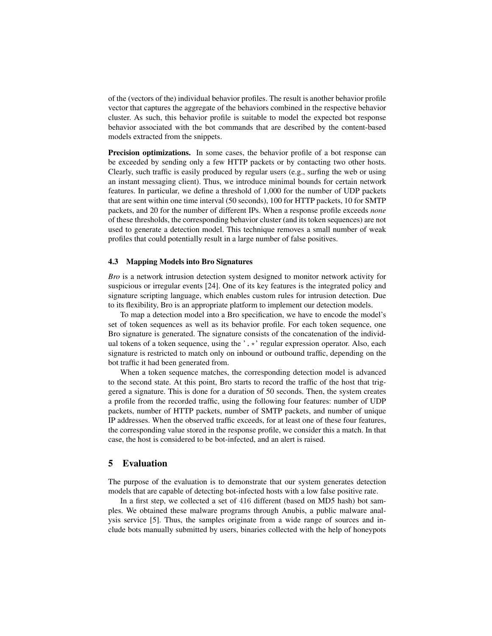of the (vectors of the) individual behavior profiles. The result is another behavior profile vector that captures the aggregate of the behaviors combined in the respective behavior cluster. As such, this behavior profile is suitable to model the expected bot response behavior associated with the bot commands that are described by the content-based models extracted from the snippets.

Precision optimizations. In some cases, the behavior profile of a bot response can be exceeded by sending only a few HTTP packets or by contacting two other hosts. Clearly, such traffic is easily produced by regular users (e.g., surfing the web or using an instant messaging client). Thus, we introduce minimal bounds for certain network features. In particular, we define a threshold of 1,000 for the number of UDP packets that are sent within one time interval (50 seconds), 100 for HTTP packets, 10 for SMTP packets, and 20 for the number of different IPs. When a response profile exceeds *none* of these thresholds, the corresponding behavior cluster (and its token sequences) are not used to generate a detection model. This technique removes a small number of weak profiles that could potentially result in a large number of false positives.

#### 4.3 Mapping Models into Bro Signatures

*Bro* is a network intrusion detection system designed to monitor network activity for suspicious or irregular events [24]. One of its key features is the integrated policy and signature scripting language, which enables custom rules for intrusion detection. Due to its flexibility, Bro is an appropriate platform to implement our detection models.

To map a detection model into a Bro specification, we have to encode the model's set of token sequences as well as its behavior profile. For each token sequence, one Bro signature is generated. The signature consists of the concatenation of the individual tokens of a token sequence, using the '.\*' regular expression operator. Also, each signature is restricted to match only on inbound or outbound traffic, depending on the bot traffic it had been generated from.

When a token sequence matches, the corresponding detection model is advanced to the second state. At this point, Bro starts to record the traffic of the host that triggered a signature. This is done for a duration of 50 seconds. Then, the system creates a profile from the recorded traffic, using the following four features: number of UDP packets, number of HTTP packets, number of SMTP packets, and number of unique IP addresses. When the observed traffic exceeds, for at least one of these four features, the corresponding value stored in the response profile, we consider this a match. In that case, the host is considered to be bot-infected, and an alert is raised.

## 5 Evaluation

The purpose of the evaluation is to demonstrate that our system generates detection models that are capable of detecting bot-infected hosts with a low false positive rate.

In a first step, we collected a set of 416 different (based on MD5 hash) bot samples. We obtained these malware programs through Anubis, a public malware analysis service [5]. Thus, the samples originate from a wide range of sources and include bots manually submitted by users, binaries collected with the help of honeypots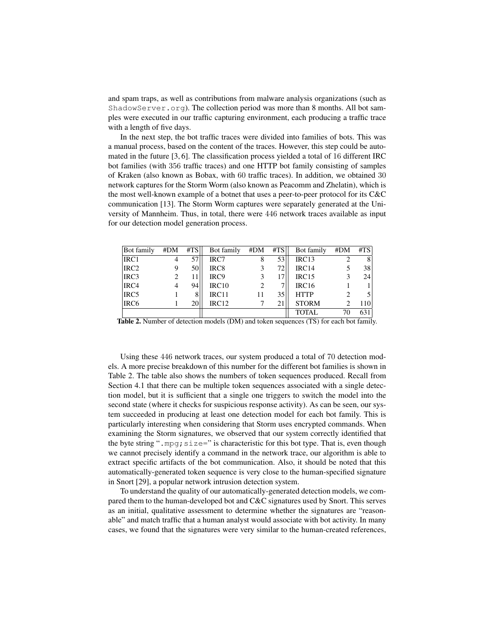and spam traps, as well as contributions from malware analysis organizations (such as ShadowServer.org). The collection period was more than 8 months. All bot samples were executed in our traffic capturing environment, each producing a traffic trace with a length of five days.

In the next step, the bot traffic traces were divided into families of bots. This was a manual process, based on the content of the traces. However, this step could be automated in the future [3, 6]. The classification process yielded a total of 16 different IRC bot families (with 356 traffic traces) and one HTTP bot family consisting of samples of Kraken (also known as Bobax, with 60 traffic traces). In addition, we obtained 30 network captures for the Storm Worm (also known as Peacomm and Zhelatin), which is the most well-known example of a botnet that uses a peer-to-peer protocol for its C&C communication [13]. The Storm Worm captures were separately generated at the University of Mannheim. Thus, in total, there were 446 network traces available as input for our detection model generation process.

| <b>Bot family</b> | #DM            | $\#TS$          | Bot family        | #DM | $\#TS$         | Bot family        | #DM                         | $\#TS$          |
|-------------------|----------------|-----------------|-------------------|-----|----------------|-------------------|-----------------------------|-----------------|
| IRC1              | $\overline{4}$ | 57 <sub>1</sub> | IRC7              |     | 53             | IRC13             |                             | 8               |
| IRC <sub>2</sub>  | 9              | 50 <sup>1</sup> | IRC <sub>8</sub>  |     | 72             | IRC <sub>14</sub> |                             | 38              |
| IRC3              | 2              | 11              | IRC9              |     | 17             | IRC15             |                             | 24 <sup>1</sup> |
| IRC4              | 4              | 94              | IRC10             |     | 7 <sub>1</sub> | IRC16             |                             |                 |
| IRC5              |                | 8               | IRC <sub>11</sub> | 11  | 35             | <b>HTTP</b>       | $\mathcal{D}_{\mathcal{A}}$ |                 |
| IRC <sub>6</sub>  |                | 20              | IRC <sub>12</sub> |     | 21             | <b>STORM</b>      |                             | 1101            |
|                   |                |                 |                   |     |                | <b>TOTAL</b>      | 70                          | 6311            |

Table 2. Number of detection models (DM) and token sequences (TS) for each bot family.

Using these 446 network traces, our system produced a total of 70 detection models. A more precise breakdown of this number for the different bot families is shown in Table 2. The table also shows the numbers of token sequences produced. Recall from Section 4.1 that there can be multiple token sequences associated with a single detection model, but it is sufficient that a single one triggers to switch the model into the second state (where it checks for suspicious response activity). As can be seen, our system succeeded in producing at least one detection model for each bot family. This is particularly interesting when considering that Storm uses encrypted commands. When examining the Storm signatures, we observed that our system correctly identified that the byte string ".mpq;  $size="$  is characteristic for this bot type. That is, even though we cannot precisely identify a command in the network trace, our algorithm is able to extract specific artifacts of the bot communication. Also, it should be noted that this automatically-generated token sequence is very close to the human-specified signature in Snort [29], a popular network intrusion detection system.

To understand the quality of our automatically-generated detection models, we compared them to the human-developed bot and C&C signatures used by Snort. This serves as an initial, qualitative assessment to determine whether the signatures are "reasonable" and match traffic that a human analyst would associate with bot activity. In many cases, we found that the signatures were very similar to the human-created references,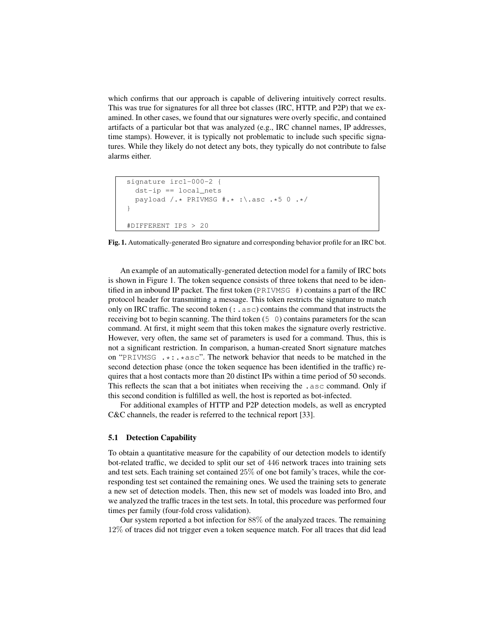which confirms that our approach is capable of delivering intuitively correct results. This was true for signatures for all three bot classes (IRC, HTTP, and P2P) that we examined. In other cases, we found that our signatures were overly specific, and contained artifacts of a particular bot that was analyzed (e.g., IRC channel names, IP addresses, time stamps). However, it is typically not problematic to include such specific signatures. While they likely do not detect any bots, they typically do not contribute to false alarms either.

```
signature irc1-000-2 {
  dst-ip == local_nets
 payload /.* PRIVMSG #.* :\.asc .*5 0 .*/
}
#DIFFERENT IPS > 20
```
Fig. 1. Automatically-generated Bro signature and corresponding behavior profile for an IRC bot.

An example of an automatically-generated detection model for a family of IRC bots is shown in Figure 1. The token sequence consists of three tokens that need to be identified in an inbound IP packet. The first token (PRIVMSG  $#$ ) contains a part of the IRC protocol header for transmitting a message. This token restricts the signature to match only on IRC traffic. The second token  $(:.ase)$  contains the command that instructs the receiving bot to begin scanning. The third token  $(5\ 0)$  contains parameters for the scan command. At first, it might seem that this token makes the signature overly restrictive. However, very often, the same set of parameters is used for a command. Thus, this is not a significant restriction. In comparison, a human-created Snort signature matches on "PRIVMSG .\*:.\*asc". The network behavior that needs to be matched in the second detection phase (once the token sequence has been identified in the traffic) requires that a host contacts more than 20 distinct IPs within a time period of 50 seconds. This reflects the scan that a bot initiates when receiving the .asc command. Only if this second condition is fulfilled as well, the host is reported as bot-infected.

For additional examples of HTTP and P2P detection models, as well as encrypted C&C channels, the reader is referred to the technical report [33].

### 5.1 Detection Capability

To obtain a quantitative measure for the capability of our detection models to identify bot-related traffic, we decided to split our set of 446 network traces into training sets and test sets. Each training set contained 25% of one bot family's traces, while the corresponding test set contained the remaining ones. We used the training sets to generate a new set of detection models. Then, this new set of models was loaded into Bro, and we analyzed the traffic traces in the test sets. In total, this procedure was performed four times per family (four-fold cross validation).

Our system reported a bot infection for 88% of the analyzed traces. The remaining 12% of traces did not trigger even a token sequence match. For all traces that did lead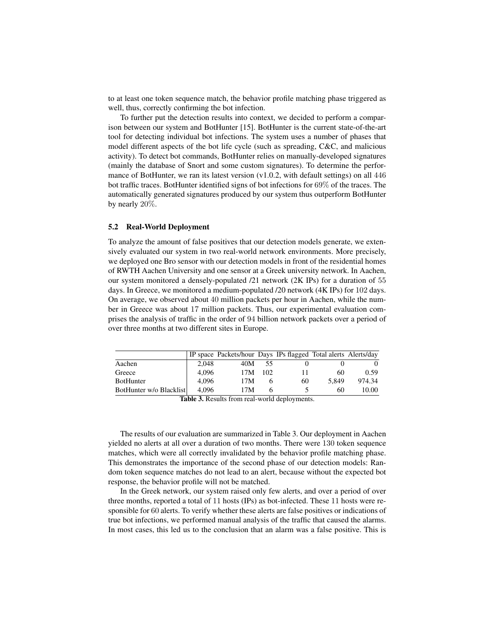to at least one token sequence match, the behavior profile matching phase triggered as well, thus, correctly confirming the bot infection.

To further put the detection results into context, we decided to perform a comparison between our system and BotHunter [15]. BotHunter is the current state-of-the-art tool for detecting individual bot infections. The system uses a number of phases that model different aspects of the bot life cycle (such as spreading, C&C, and malicious activity). To detect bot commands, BotHunter relies on manually-developed signatures (mainly the database of Snort and some custom signatures). To determine the performance of BotHunter, we ran its latest version  $(v1.0.2, with default settings)$  on all 446 bot traffic traces. BotHunter identified signs of bot infections for 69% of the traces. The automatically generated signatures produced by our system thus outperform BotHunter by nearly 20%.

#### 5.2 Real-World Deployment

To analyze the amount of false positives that our detection models generate, we extensively evaluated our system in two real-world network environments. More precisely, we deployed one Bro sensor with our detection models in front of the residential homes of RWTH Aachen University and one sensor at a Greek university network. In Aachen, our system monitored a densely-populated /21 network (2K IPs) for a duration of 55 days. In Greece, we monitored a medium-populated /20 network (4K IPs) for 102 days. On average, we observed about 40 million packets per hour in Aachen, while the number in Greece was about 17 million packets. Thus, our experimental evaluation comprises the analysis of traffic in the order of 94 billion network packets over a period of over three months at two different sites in Europe.

|                         |       | IP space Packets/hour Days IPs flagged Total alerts Alerts/day |     |    |       |        |
|-------------------------|-------|----------------------------------------------------------------|-----|----|-------|--------|
| Aachen                  | 2.048 | 40M                                                            | 55  |    |       |        |
| Greece                  | 4.096 | 17M                                                            | 102 |    | 60    | 0.59   |
| <b>BotHunter</b>        | 4.096 | 17M                                                            |     | 60 | 5.849 | 974.34 |
| BotHunter w/o Blacklist | 4.096 | 17M                                                            |     |    | 60    | 10.00  |

Table 3. Results from real-world deployments.

The results of our evaluation are summarized in Table 3. Our deployment in Aachen yielded no alerts at all over a duration of two months. There were 130 token sequence matches, which were all correctly invalidated by the behavior profile matching phase. This demonstrates the importance of the second phase of our detection models: Random token sequence matches do not lead to an alert, because without the expected bot response, the behavior profile will not be matched.

In the Greek network, our system raised only few alerts, and over a period of over three months, reported a total of 11 hosts (IPs) as bot-infected. These 11 hosts were responsible for 60 alerts. To verify whether these alerts are false positives or indications of true bot infections, we performed manual analysis of the traffic that caused the alarms. In most cases, this led us to the conclusion that an alarm was a false positive. This is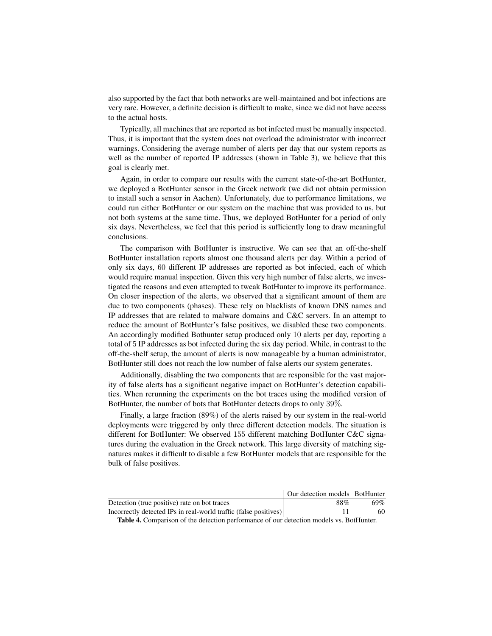also supported by the fact that both networks are well-maintained and bot infections are very rare. However, a definite decision is difficult to make, since we did not have access to the actual hosts.

Typically, all machines that are reported as bot infected must be manually inspected. Thus, it is important that the system does not overload the administrator with incorrect warnings. Considering the average number of alerts per day that our system reports as well as the number of reported IP addresses (shown in Table 3), we believe that this goal is clearly met.

Again, in order to compare our results with the current state-of-the-art BotHunter, we deployed a BotHunter sensor in the Greek network (we did not obtain permission to install such a sensor in Aachen). Unfortunately, due to performance limitations, we could run either BotHunter or our system on the machine that was provided to us, but not both systems at the same time. Thus, we deployed BotHunter for a period of only six days. Nevertheless, we feel that this period is sufficiently long to draw meaningful conclusions.

The comparison with BotHunter is instructive. We can see that an off-the-shelf BotHunter installation reports almost one thousand alerts per day. Within a period of only six days, 60 different IP addresses are reported as bot infected, each of which would require manual inspection. Given this very high number of false alerts, we investigated the reasons and even attempted to tweak BotHunter to improve its performance. On closer inspection of the alerts, we observed that a significant amount of them are due to two components (phases). These rely on blacklists of known DNS names and IP addresses that are related to malware domains and C&C servers. In an attempt to reduce the amount of BotHunter's false positives, we disabled these two components. An accordingly modified Bothunter setup produced only 10 alerts per day, reporting a total of 5 IP addresses as bot infected during the six day period. While, in contrast to the off-the-shelf setup, the amount of alerts is now manageable by a human administrator, BotHunter still does not reach the low number of false alerts our system generates.

Additionally, disabling the two components that are responsible for the vast majority of false alerts has a significant negative impact on BotHunter's detection capabilities. When rerunning the experiments on the bot traces using the modified version of BotHunter, the number of bots that BotHunter detects drops to only 39%.

Finally, a large fraction (89%) of the alerts raised by our system in the real-world deployments were triggered by only three different detection models. The situation is different for BotHunter: We observed 155 different matching BotHunter C&C signatures during the evaluation in the Greek network. This large diversity of matching signatures makes it difficult to disable a few BotHunter models that are responsible for the bulk of false positives.

|                                                                  | Our detection models BotHunter |     |
|------------------------------------------------------------------|--------------------------------|-----|
| Detection (true positive) rate on bot traces                     | 88%                            | 69% |
| Incorrectly detected IPs in real-world traffic (false positives) |                                | 60  |
|                                                                  |                                |     |

Table 4. Comparison of the detection performance of our detection models vs. BotHunter.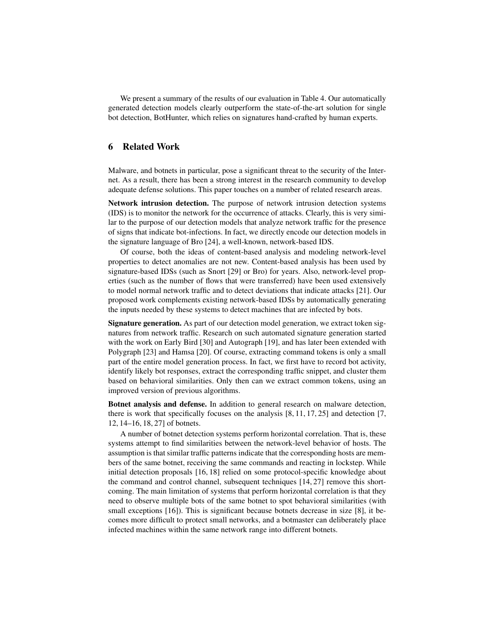We present a summary of the results of our evaluation in Table 4. Our automatically generated detection models clearly outperform the state-of-the-art solution for single bot detection, BotHunter, which relies on signatures hand-crafted by human experts.

## 6 Related Work

Malware, and botnets in particular, pose a significant threat to the security of the Internet. As a result, there has been a strong interest in the research community to develop adequate defense solutions. This paper touches on a number of related research areas.

Network intrusion detection. The purpose of network intrusion detection systems (IDS) is to monitor the network for the occurrence of attacks. Clearly, this is very similar to the purpose of our detection models that analyze network traffic for the presence of signs that indicate bot-infections. In fact, we directly encode our detection models in the signature language of Bro [24], a well-known, network-based IDS.

Of course, both the ideas of content-based analysis and modeling network-level properties to detect anomalies are not new. Content-based analysis has been used by signature-based IDSs (such as Snort [29] or Bro) for years. Also, network-level properties (such as the number of flows that were transferred) have been used extensively to model normal network traffic and to detect deviations that indicate attacks [21]. Our proposed work complements existing network-based IDSs by automatically generating the inputs needed by these systems to detect machines that are infected by bots.

Signature generation. As part of our detection model generation, we extract token signatures from network traffic. Research on such automated signature generation started with the work on Early Bird [30] and Autograph [19], and has later been extended with Polygraph [23] and Hamsa [20]. Of course, extracting command tokens is only a small part of the entire model generation process. In fact, we first have to record bot activity, identify likely bot responses, extract the corresponding traffic snippet, and cluster them based on behavioral similarities. Only then can we extract common tokens, using an improved version of previous algorithms.

Botnet analysis and defense. In addition to general research on malware detection, there is work that specifically focuses on the analysis [8, 11, 17, 25] and detection [7, 12, 14–16, 18, 27] of botnets.

A number of botnet detection systems perform horizontal correlation. That is, these systems attempt to find similarities between the network-level behavior of hosts. The assumption is that similar traffic patterns indicate that the corresponding hosts are members of the same botnet, receiving the same commands and reacting in lockstep. While initial detection proposals [16, 18] relied on some protocol-specific knowledge about the command and control channel, subsequent techniques [14, 27] remove this shortcoming. The main limitation of systems that perform horizontal correlation is that they need to observe multiple bots of the same botnet to spot behavioral similarities (with small exceptions [16]). This is significant because botnets decrease in size [8], it becomes more difficult to protect small networks, and a botmaster can deliberately place infected machines within the same network range into different botnets.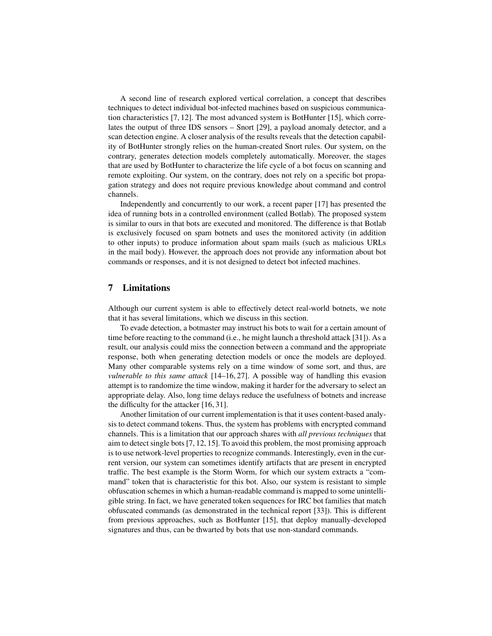A second line of research explored vertical correlation, a concept that describes techniques to detect individual bot-infected machines based on suspicious communication characteristics [7, 12]. The most advanced system is BotHunter [15], which correlates the output of three IDS sensors – Snort [29], a payload anomaly detector, and a scan detection engine. A closer analysis of the results reveals that the detection capability of BotHunter strongly relies on the human-created Snort rules. Our system, on the contrary, generates detection models completely automatically. Moreover, the stages that are used by BotHunter to characterize the life cycle of a bot focus on scanning and remote exploiting. Our system, on the contrary, does not rely on a specific bot propagation strategy and does not require previous knowledge about command and control channels.

Independently and concurrently to our work, a recent paper [17] has presented the idea of running bots in a controlled environment (called Botlab). The proposed system is similar to ours in that bots are executed and monitored. The difference is that Botlab is exclusively focused on spam botnets and uses the monitored activity (in addition to other inputs) to produce information about spam mails (such as malicious URLs in the mail body). However, the approach does not provide any information about bot commands or responses, and it is not designed to detect bot infected machines.

### 7 Limitations

Although our current system is able to effectively detect real-world botnets, we note that it has several limitations, which we discuss in this section.

To evade detection, a botmaster may instruct his bots to wait for a certain amount of time before reacting to the command (i.e., he might launch a threshold attack [31]). As a result, our analysis could miss the connection between a command and the appropriate response, both when generating detection models or once the models are deployed. Many other comparable systems rely on a time window of some sort, and thus, are *vulnerable to this same attack* [14–16, 27]. A possible way of handling this evasion attempt is to randomize the time window, making it harder for the adversary to select an appropriate delay. Also, long time delays reduce the usefulness of botnets and increase the difficulty for the attacker [16, 31].

Another limitation of our current implementation is that it uses content-based analysis to detect command tokens. Thus, the system has problems with encrypted command channels. This is a limitation that our approach shares with *all previous techniques* that aim to detect single bots [7, 12, 15]. To avoid this problem, the most promising approach is to use network-level properties to recognize commands. Interestingly, even in the current version, our system can sometimes identify artifacts that are present in encrypted traffic. The best example is the Storm Worm, for which our system extracts a "command" token that is characteristic for this bot. Also, our system is resistant to simple obfuscation schemes in which a human-readable command is mapped to some unintelligible string. In fact, we have generated token sequences for IRC bot families that match obfuscated commands (as demonstrated in the technical report [33]). This is different from previous approaches, such as BotHunter [15], that deploy manually-developed signatures and thus, can be thwarted by bots that use non-standard commands.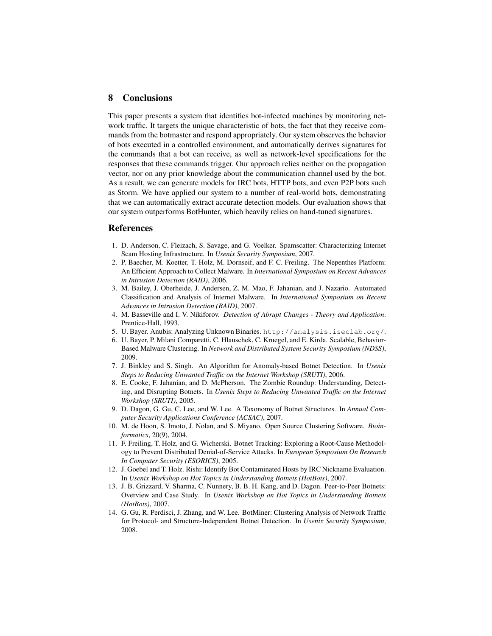## 8 Conclusions

This paper presents a system that identifies bot-infected machines by monitoring network traffic. It targets the unique characteristic of bots, the fact that they receive commands from the botmaster and respond appropriately. Our system observes the behavior of bots executed in a controlled environment, and automatically derives signatures for the commands that a bot can receive, as well as network-level specifications for the responses that these commands trigger. Our approach relies neither on the propagation vector, nor on any prior knowledge about the communication channel used by the bot. As a result, we can generate models for IRC bots, HTTP bots, and even P2P bots such as Storm. We have applied our system to a number of real-world bots, demonstrating that we can automatically extract accurate detection models. Our evaluation shows that our system outperforms BotHunter, which heavily relies on hand-tuned signatures.

#### References

- 1. D. Anderson, C. Fleizach, S. Savage, and G. Voelker. Spamscatter: Characterizing Internet Scam Hosting Infrastructure. In *Usenix Security Symposium*, 2007.
- 2. P. Baecher, M. Koetter, T. Holz, M. Dornseif, and F. C. Freiling. The Nepenthes Platform: An Efficient Approach to Collect Malware. In *International Symposium on Recent Advances in Intrusion Detection (RAID)*, 2006.
- 3. M. Bailey, J. Oberheide, J. Andersen, Z. M. Mao, F. Jahanian, and J. Nazario. Automated Classification and Analysis of Internet Malware. In *International Symposium on Recent Advances in Intrusion Detection (RAID)*, 2007.
- 4. M. Basseville and I. V. Nikiforov. *Detection of Abrupt Changes Theory and Application*. Prentice-Hall, 1993.
- 5. U. Bayer. Anubis: Analyzing Unknown Binaries. http://analysis.iseclab.org/.
- 6. U. Bayer, P. Milani Comparetti, C. Hlauschek, C. Kruegel, and E. Kirda. Scalable, Behavior-Based Malware Clustering. In *Network and Distributed System Security Symposium (NDSS)*, 2009.
- 7. J. Binkley and S. Singh. An Algorithm for Anomaly-based Botnet Detection. In *Usenix Steps to Reducing Unwanted Traffic on the Internet Workshop (SRUTI)*, 2006.
- 8. E. Cooke, F. Jahanian, and D. McPherson. The Zombie Roundup: Understanding, Detecting, and Disrupting Botnets. In *Usenix Steps to Reducing Unwanted Traffic on the Internet Workshop (SRUTI)*, 2005.
- 9. D. Dagon, G. Gu, C. Lee, and W. Lee. A Taxonomy of Botnet Structures. In *Annual Computer Security Applications Conference (ACSAC)*, 2007.
- 10. M. de Hoon, S. Imoto, J. Nolan, and S. Miyano. Open Source Clustering Software. *Bioinformatics*, 20(9), 2004.
- 11. F. Freiling, T. Holz, and G. Wicherski. Botnet Tracking: Exploring a Root-Cause Methodology to Prevent Distributed Denial-of-Service Attacks. In *European Symposium On Research In Computer Security (ESORICS)*, 2005.
- 12. J. Goebel and T. Holz. Rishi: Identify Bot Contaminated Hosts by IRC Nickname Evaluation. In *Usenix Workshop on Hot Topics in Understanding Botnets (HotBots)*, 2007.
- 13. J. B. Grizzard, V. Sharma, C. Nunnery, B. B. H. Kang, and D. Dagon. Peer-to-Peer Botnets: Overview and Case Study. In *Usenix Workshop on Hot Topics in Understanding Botnets (HotBots)*, 2007.
- 14. G. Gu, R. Perdisci, J. Zhang, and W. Lee. BotMiner: Clustering Analysis of Network Traffic for Protocol- and Structure-Independent Botnet Detection. In *Usenix Security Symposium*, 2008.